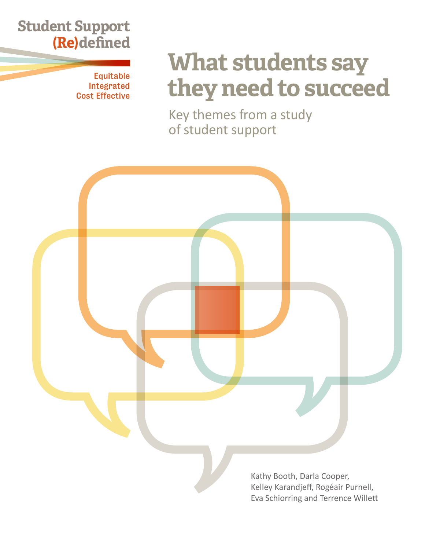# **Student Support (Re)defined**

Equitable Integrated Cost Effective

# **What students say they need to succeed**

Key themes from a study of student support

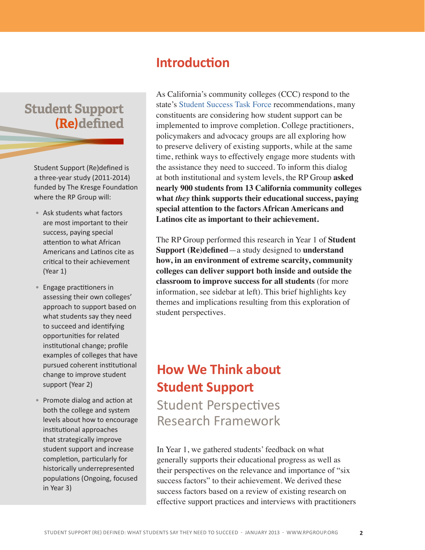## **Student Support (Re)defined**

Student Support (Re)defined is a three-year study (2011-2014) funded by The Kresge Foundation where the RP Group will:

- Ask students what factors are most important to their success, paying special attention to what African Americans and Latinos cite as critical to their achievement (Year 1)
- Engage practitioners in assessing their own colleges' approach to support based on what students say they need to succeed and identifying opportunities for related institutional change; profile examples of colleges that have pursued coherent institutional change to improve student support (Year 2)
- Promote dialog and action at both the college and system levels about how to encourage institutional approaches that strategically improve student support and increase completion, particularly for historically underrepresented populations (Ongoing, focused in Year 3)

## **Introduction**

As California's community colleges (CCC) respond to the state's [Student Success Task Force](http://californiacommunitycolleges.cccco.edu/PolicyinAction/StudentSuccessTaskForce.aspx) recommendations, many constituents are considering how student support can be implemented to improve completion. College practitioners, policymakers and advocacy groups are all exploring how to preserve delivery of existing supports, while at the same time, rethink ways to effectively engage more students with the assistance they need to succeed. To inform this dialog at both institutional and system levels, the RP Group **asked nearly 900 students from 13 California community colleges what** *they* **think supports their educational success, paying special attention to the factors African Americans and Latinos cite as important to their achievement.**

The RP Group performed this research in Year 1 of **Student Support (Re)defined**—a study designed to **understand how, in an environment of extreme scarcity, community colleges can deliver support both inside and outside the classroom to improve success for all students** (for more information, see sidebar at left). This brief highlights key themes and implications resulting from this exploration of student perspectives.

# **How We Think about Student Support** Student Perspectives

Research Framework

In Year 1, we gathered students' feedback on what generally supports their educational progress as well as their perspectives on the relevance and importance of "six success factors" to their achievement. We derived these success factors based on a review of existing research on effective support practices and interviews with practitioners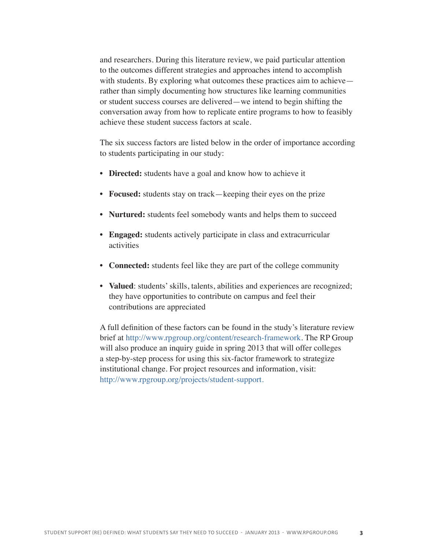and researchers. During this literature review, we paid particular attention to the outcomes different strategies and approaches intend to accomplish with students. By exploring what outcomes these practices aim to achieve rather than simply documenting how structures like learning communities or student success courses are delivered—we intend to begin shifting the conversation away from how to replicate entire programs to how to feasibly achieve these student success factors at scale.

The six success factors are listed below in the order of importance according to students participating in our study:

- **Directed:** students have a goal and know how to achieve it
- **Focused:** students stay on track—keeping their eyes on the prize
- **Nurtured:** students feel somebody wants and helps them to succeed
- **Engaged:** students actively participate in class and extracurricular activities
- **Connected:** students feel like they are part of the college community
- **Valued**: students' skills, talents, abilities and experiences are recognized; they have opportunities to contribute on campus and feel their contributions are appreciated

A full definition of these factors can be found in the study's literature review brief at [http://www.rpgroup.org/content/research-framework.](http://www.rpgroup.org/content/research-framework) The RP Group will also produce an inquiry guide in spring 2013 that will offer colleges a step-by-step process for using this six-factor framework to strategize institutional change. For project resources and information, visit: [http://www.rpgroup.org/projects/student-support.](http://www.rpgroup.org/projects/student-support)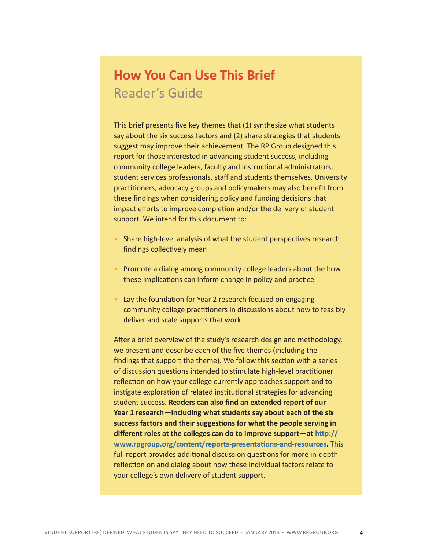## **How You Can Use This Brief**  Reader's Guide

This brief presents five key themes that (1) synthesize what students say about the six success factors and (2) share strategies that students suggest may improve their achievement. The RP Group designed this report for those interested in advancing student success, including community college leaders, faculty and instructional administrators, student services professionals, staff and students themselves. University practitioners, advocacy groups and policymakers may also benefit from these findings when considering policy and funding decisions that impact efforts to improve completion and/or the delivery of student support. We intend for this document to:

- Share high-level analysis of what the student perspectives research findings collectively mean
- Promote a dialog among community college leaders about the how these implications can inform change in policy and practice
- Lay the foundation for Year 2 research focused on engaging community college practitioners in discussions about how to feasibly deliver and scale supports that work

After a brief overview of the study's research design and methodology, we present and describe each of the five themes (including the findings that support the theme). We follow this section with a series of discussion questions intended to stimulate high-level practitioner reflection on how your college currently approaches support and to instigate exploration of related institutional strategies for advancing student success. **Readers can also find an extended report of our Year 1 research—including what students say about each of the six success factors and their suggestions for what the people serving in different roles at the colleges can do to improve support—at [http://](http://www.rpgroup.org/content/reports-presentations-and-resources) [www.rpgroup.org/content/reports-presentations-and-resource](http://www.rpgroup.org/content/reports-presentations-and-resources)s.** This full report provides additional discussion questions for more in-depth reflection on and dialog about how these individual factors relate to your college's own delivery of student support.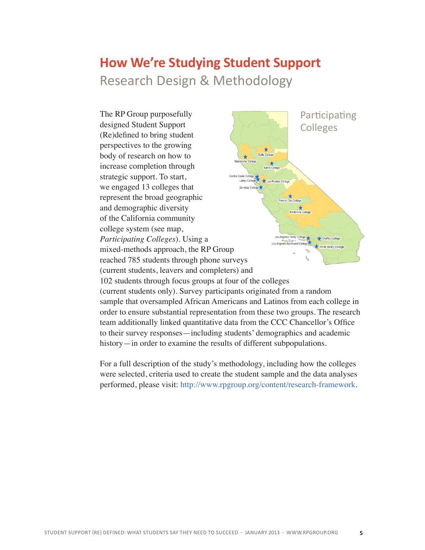## $\mathcal{L}$ **How We're Studying Student Support**  Research Design & Methodology



history—in order to examine the results of different subpopulations.

For a full description of the study's methodology, including how the colleges were selected, criteria used to create the student sample and the data analyses performed, please visit: <http://www.rpgroup.org/content/research-framework>.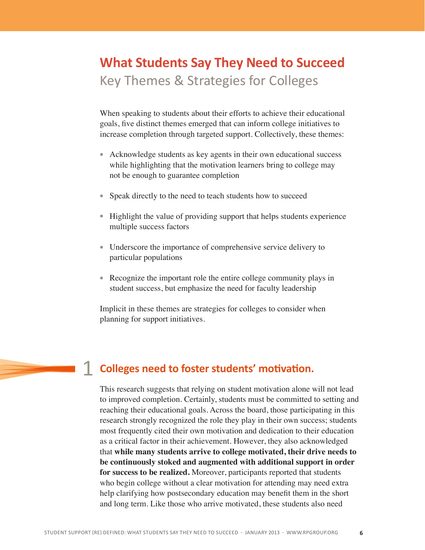# **What Students Say They Need to Succeed**  Key Themes & Strategies for Colleges

When speaking to students about their efforts to achieve their educational goals, five distinct themes emerged that can inform college initiatives to increase completion through targeted support. Collectively, these themes:

- Acknowledge students as key agents in their own educational success while highlighting that the motivation learners bring to college may not be enough to guarantee completion
- Speak directly to the need to teach students how to succeed
- Highlight the value of providing support that helps students experience multiple success factors
- Underscore the importance of comprehensive service delivery to particular populations
- Recognize the important role the entire college community plays in student success, but emphasize the need for faculty leadership

Implicit in these themes are strategies for colleges to consider when planning for support initiatives.

### 1 **Colleges need to foster students' motivation.**

This research suggests that relying on student motivation alone will not lead to improved completion. Certainly, students must be committed to setting and reaching their educational goals. Across the board, those participating in this research strongly recognized the role they play in their own success; students most frequently cited their own motivation and dedication to their education as a critical factor in their achievement. However, they also acknowledged that **while many students arrive to college motivated, their drive needs to be continuously stoked and augmented with additional support in order for success to be realized.** Moreover, participants reported that students who begin college without a clear motivation for attending may need extra help clarifying how postsecondary education may benefit them in the short and long term. Like those who arrive motivated, these students also need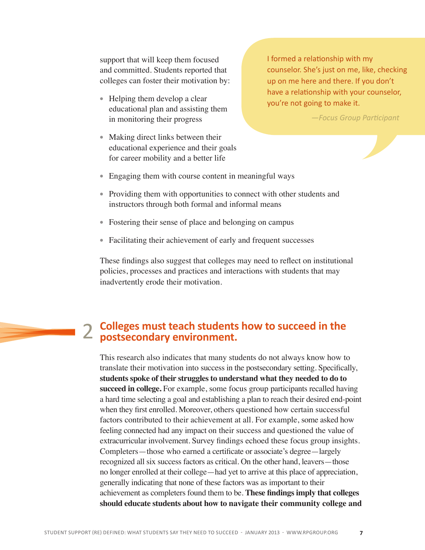support that will keep them focused and committed. Students reported that colleges can foster their motivation by:

- Helping them develop a clear educational plan and assisting them in monitoring their progress
- Making direct links between their educational experience and their goals for career mobility and a better life

I formed a relationship with my counselor. She's just on me, like, checking up on me here and there. If you don't have a relationship with your counselor, you're not going to make it.

*—Focus Group Participant*

- Engaging them with course content in meaningful ways
- Providing them with opportunities to connect with other students and instructors through both formal and informal means
- Fostering their sense of place and belonging on campus
- Facilitating their achievement of early and frequent successes

These findings also suggest that colleges may need to reflect on institutional policies, processes and practices and interactions with students that may inadvertently erode their motivation.

### **Colleges must teach students how to succeed in the**  2 Colleges must teach students<br>2 postsecondary environment.

This research also indicates that many students do not always know how to translate their motivation into success in the postsecondary setting. Specifically, **students spoke of their struggles to understand what they needed to do to succeed in college.** For example, some focus group participants recalled having a hard time selecting a goal and establishing a plan to reach their desired end-point when they first enrolled. Moreover, others questioned how certain successful factors contributed to their achievement at all. For example, some asked how feeling connected had any impact on their success and questioned the value of extracurricular involvement. Survey findings echoed these focus group insights. Completers—those who earned a certificate or associate's degree—largely recognized all six success factors as critical. On the other hand, leavers—those no longer enrolled at their college—had yet to arrive at this place of appreciation, generally indicating that none of these factors was as important to their achievement as completers found them to be. **These findings imply that colleges should educate students about how to navigate their community college and**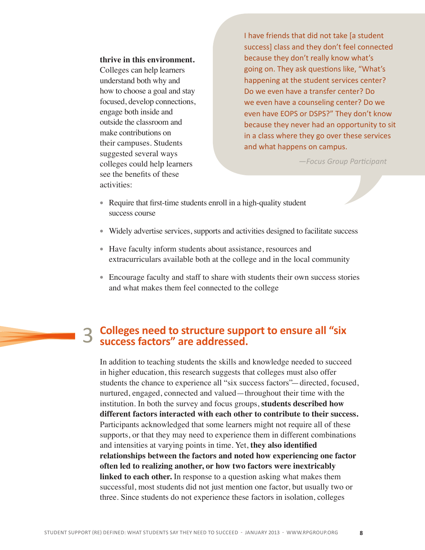**thrive in this environment.** Colleges can help learners understand both why and how to choose a goal and stay focused, develop connections, engage both inside and outside the classroom and make contributions on their campuses. Students suggested several ways colleges could help learners see the benefits of these activities:

I have friends that did not take [a student success] class and they don't feel connected because they don't really know what's going on. They ask questions like, "What's happening at the student services center? Do we even have a transfer center? Do we even have a counseling center? Do we even have EOPS or DSPS?" They don't know because they never had an opportunity to sit in a class where they go over these services and what happens on campus.

*—Focus Group Participant*

- Require that first-time students enroll in a high-quality student success course
- Widely advertise services, supports and activities designed to facilitate success
- Have faculty inform students about assistance, resources and extracurriculars available both at the college and in the local community
- Encourage faculty and staff to share with students their own success stories and what makes them feel connected to the college

#### 3 **Colleges need to structure support to ensure all "six success factors" are addressed.**

In addition to teaching students the skills and knowledge needed to succeed in higher education, this research suggests that colleges must also offer students the chance to experience all "six success factors"—directed, focused, nurtured, engaged, connected and valued—throughout their time with the institution. In both the survey and focus groups, **students described how different factors interacted with each other to contribute to their success.**  Participants acknowledged that some learners might not require all of these supports, or that they may need to experience them in different combinations and intensities at varying points in time. Yet, **they also identified relationships between the factors and noted how experiencing one factor often led to realizing another, or how two factors were inextricably linked to each other.** In response to a question asking what makes them successful, most students did not just mention one factor, but usually two or three. Since students do not experience these factors in isolation, colleges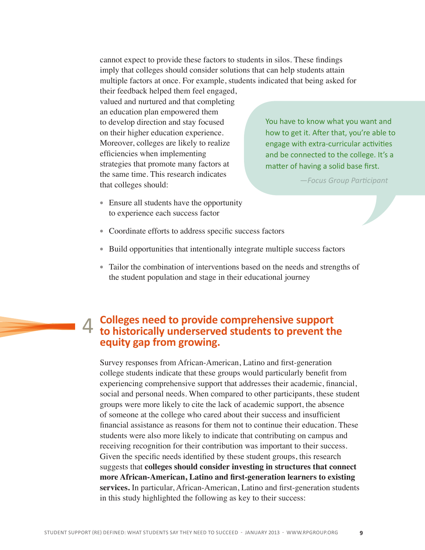cannot expect to provide these factors to students in silos. These findings imply that colleges should consider solutions that can help students attain multiple factors at once. For example, students indicated that being asked for

their feedback helped them feel engaged, valued and nurtured and that completing an education plan empowered them to develop direction and stay focused on their higher education experience. Moreover, colleges are likely to realize efficiencies when implementing strategies that promote many factors at the same time. This research indicates that colleges should:

You have to know what you want and how to get it. After that, you're able to engage with extra-curricular activities and be connected to the college. It's a matter of having a solid base first.

*—Focus Group Participant*

- Ensure all students have the opportunity to experience each success factor
- Coordinate efforts to address specific success factors
- Build opportunities that intentionally integrate multiple success factors
- Tailor the combination of interventions based on the needs and strengths of the student population and stage in their educational journey

#### 4 **Colleges need to provide comprehensive support to historically underserved students to prevent the equity gap from growing.**

Survey responses from African-American, Latino and first-generation college students indicate that these groups would particularly benefit from experiencing comprehensive support that addresses their academic, financial, social and personal needs. When compared to other participants, these student groups were more likely to cite the lack of academic support, the absence of someone at the college who cared about their success and insufficient financial assistance as reasons for them not to continue their education. These students were also more likely to indicate that contributing on campus and receiving recognition for their contribution was important to their success. Given the specific needs identified by these student groups, this research suggests that **colleges should consider investing in structures that connect more African-American, Latino and first-generation learners to existing services.** In particular, African-American, Latino and first-generation students in this study highlighted the following as key to their success: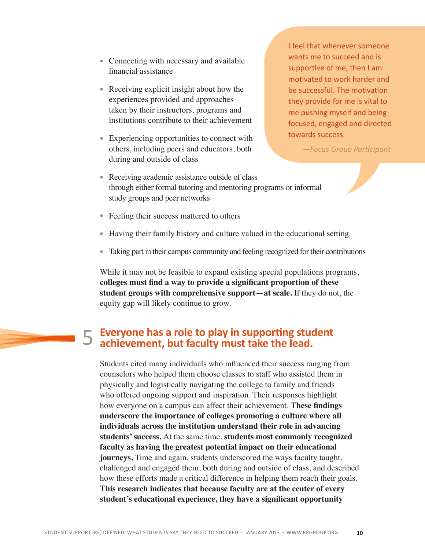- Connecting with necessary and available financial assistance
- Receiving explicit insight about how the experiences provided and approaches taken by their instructors, programs and institutions contribute to their achievement
- Experiencing opportunities to connect with others, including peers and educators, both during and outside of class

I feel that whenever someone wants me to succeed and is supportive of me, then I am motivated to work harder and be successful. The motivation they provide for me is vital to me pushing myself and being focused, engaged and directed towards success.

*—Focus Group Participant*

- Receiving academic assistance outside of class through either formal tutoring and mentoring programs or informal study groups and peer networks
- Feeling their success mattered to others
- Having their family history and culture valued in the educational setting
- Taking part in their campus community and feeling recognized for their contributions

While it may not be feasible to expand existing special populations programs, **colleges must find a way to provide a significant proportion of these student groups with comprehensive support—at scale.** If they do not, the equity gap will likely continue to grow.

# 5

### **Everyone has a role to play in supporting student achievement, but faculty must take the lead.**

Students cited many individuals who influenced their success ranging from counselors who helped them choose classes to staff who assisted them in physically and logistically navigating the college to family and friends who offered ongoing support and inspiration. Their responses highlight how everyone on a campus can affect their achievement. **These findings underscore the importance of colleges promoting a culture where all individuals across the institution understand their role in advancing students' success.** At the same time, **students most commonly recognized faculty as having the greatest potential impact on their educational journeys.** Time and again, students underscored the ways faculty taught, challenged and engaged them, both during and outside of class, and described how these efforts made a critical difference in helping them reach their goals. **This research indicates that because faculty are at the center of every student's educational experience, they have a significant opportunity**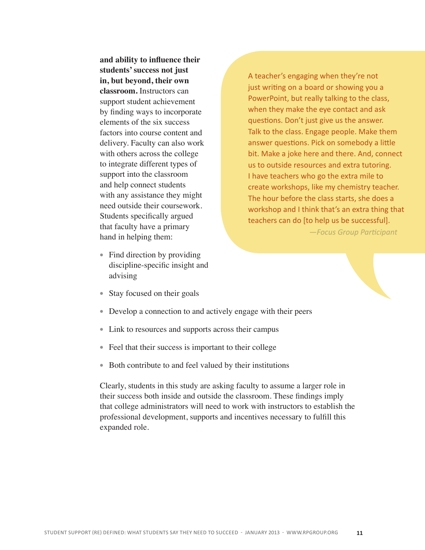**and ability to influence their students' success not just in, but beyond, their own classroom.** Instructors can support student achievement by finding ways to incorporate elements of the six success factors into course content and delivery. Faculty can also work with others across the college to integrate different types of support into the classroom and help connect students with any assistance they might need outside their coursework. Students specifically argued that faculty have a primary hand in helping them:

- Find direction by providing discipline-specific insight and advising
- Stay focused on their goals

• Develop a connection to and actively engage with their peers

- Link to resources and supports across their campus
- Feel that their success is important to their college
- Both contribute to and feel valued by their institutions

Clearly, students in this study are asking faculty to assume a larger role in their success both inside and outside the classroom. These findings imply that college administrators will need to work with instructors to establish the professional development, supports and incentives necessary to fulfill this expanded role.

A teacher's engaging when they're not just writing on a board or showing you a PowerPoint, but really talking to the class, when they make the eye contact and ask questions. Don't just give us the answer. Talk to the class. Engage people. Make them answer questions. Pick on somebody a little bit. Make a joke here and there. And, connect us to outside resources and extra tutoring. I have teachers who go the extra mile to create workshops, like my chemistry teacher. The hour before the class starts, she does a workshop and I think that's an extra thing that teachers can do [to help us be successful].

 *—Focus Group Participant*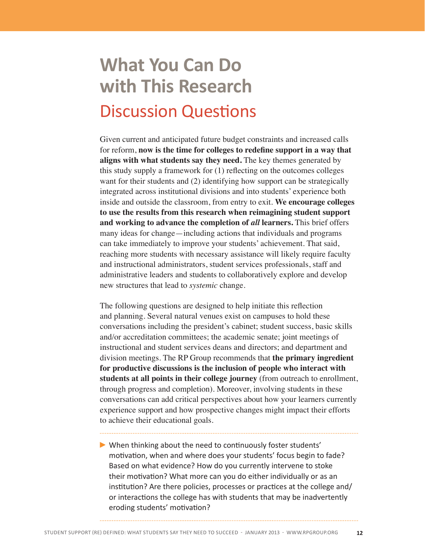# **What You Can Do with This Research** Discussion Questions

Given current and anticipated future budget constraints and increased calls for reform, **now is the time for colleges to redefine support in a way that aligns with what students say they need.** The key themes generated by this study supply a framework for (1) reflecting on the outcomes colleges want for their students and (2) identifying how support can be strategically integrated across institutional divisions and into students' experience both inside and outside the classroom, from entry to exit. **We encourage colleges to use the results from this research when reimagining student support and working to advance the completion of** *all* **learners.** This brief offers many ideas for change—including actions that individuals and programs can take immediately to improve your students' achievement. That said, reaching more students with necessary assistance will likely require faculty and instructional administrators, student services professionals, staff and administrative leaders and students to collaboratively explore and develop new structures that lead to *systemic* change.

The following questions are designed to help initiate this reflection and planning. Several natural venues exist on campuses to hold these conversations including the president's cabinet; student success, basic skills and/or accreditation committees; the academic senate; joint meetings of instructional and student services deans and directors; and department and division meetings. The RP Group recommends that **the primary ingredient for productive discussions is the inclusion of people who interact with students at all points in their college journey** (from outreach to enrollment, through progress and completion). Moreover, involving students in these conversations can add critical perspectives about how your learners currently experience support and how prospective changes might impact their efforts to achieve their educational goals.

When thinking about the need to continuously foster students' motivation, when and where does your students' focus begin to fade? Based on what evidence? How do you currently intervene to stoke their motivation? What more can you do either individually or as an institution? Are there policies, processes or practices at the college and/ or interactions the college has with students that may be inadvertently eroding students' motivation?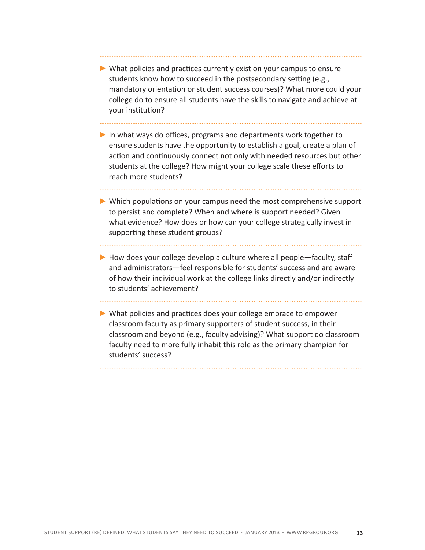- What policies and practices currently exist on your campus to ensure students know how to succeed in the postsecondary setting (e.g., mandatory orientation or student success courses)? What more could your college do to ensure all students have the skills to navigate and achieve at your institution?
- In what ways do offices, programs and departments work together to ensure students have the opportunity to establish a goal, create a plan of action and continuously connect not only with needed resources but other students at the college? How might your college scale these efforts to reach more students?
- Which populations on your campus need the most comprehensive support to persist and complete? When and where is support needed? Given what evidence? How does or how can your college strategically invest in supporting these student groups?
- $\blacktriangleright$  How does your college develop a culture where all people—faculty, staff and administrators—feel responsible for students' success and are aware of how their individual work at the college links directly and/or indirectly to students' achievement?
- What policies and practices does your college embrace to empower classroom faculty as primary supporters of student success, in their classroom and beyond (e.g., faculty advising)? What support do classroom faculty need to more fully inhabit this role as the primary champion for students' success?

Student Support (Re) Defined: What Students Say they need to succeed - January 2013 - [www.rpgroup.org](http://www.rpgroup.org/content/reports-presentations-and-resources) **13**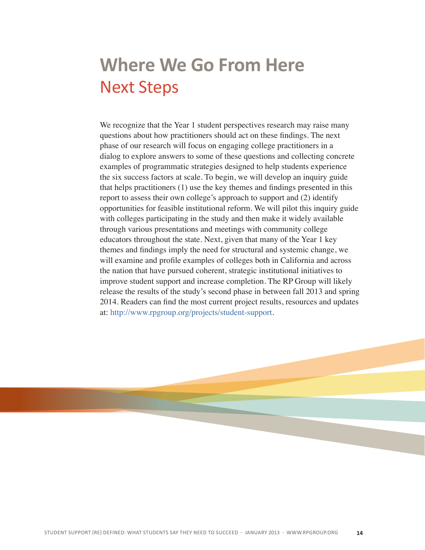# **Where We Go From Here** Next Steps

We recognize that the Year 1 student perspectives research may raise many questions about how practitioners should act on these findings. The next phase of our research will focus on engaging college practitioners in a dialog to explore answers to some of these questions and collecting concrete examples of programmatic strategies designed to help students experience the six success factors at scale. To begin, we will develop an inquiry guide that helps practitioners (1) use the key themes and findings presented in this report to assess their own college's approach to support and (2) identify opportunities for feasible institutional reform. We will pilot this inquiry guide with colleges participating in the study and then make it widely available through various presentations and meetings with community college educators throughout the state. Next, given that many of the Year 1 key themes and findings imply the need for structural and systemic change, we will examine and profile examples of colleges both in California and across the nation that have pursued coherent, strategic institutional initiatives to improve student support and increase completion. The RP Group will likely release the results of the study's second phase in between fall 2013 and spring 2014. Readers can find the most current project results, resources and updates at: [http://www.rpgroup.org/projects/student-support.](http://www.rpgroup.org/projects/student-support)